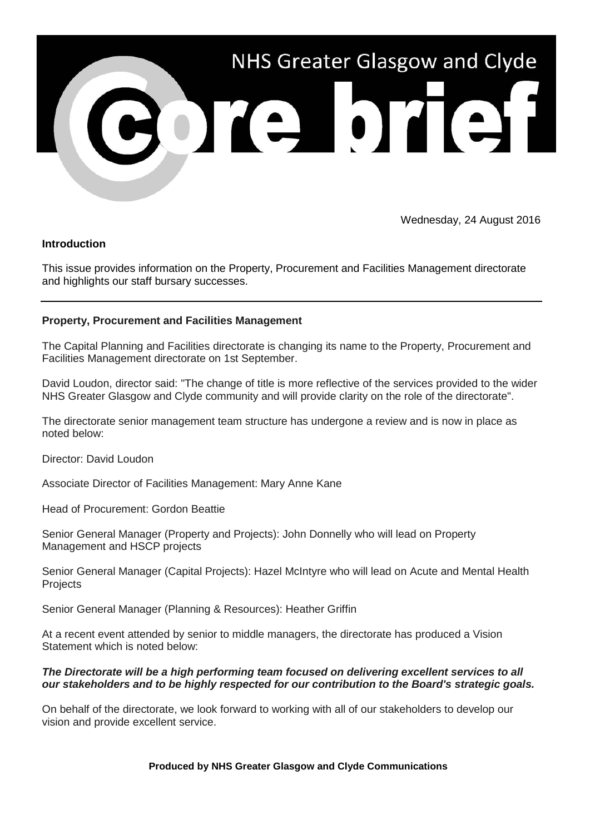

Wednesday, 24 August 2016

## **Introduction**

This issue provides information on the Property, Procurement and Facilities Management directorate and highlights our staff bursary successes.

## **Property, Procurement and Facilities Management**

The Capital Planning and Facilities directorate is changing its name to the Property, Procurement and Facilities Management directorate on 1st September.

David Loudon, director said: "The change of title is more reflective of the services provided to the wider NHS Greater Glasgow and Clyde community and will provide clarity on the role of the directorate".

The directorate senior management team structure has undergone a review and is now in place as noted below:

Director: David Loudon

Associate Director of Facilities Management: Mary Anne Kane

Head of Procurement: Gordon Beattie

Senior General Manager (Property and Projects): John Donnelly who will lead on Property Management and HSCP projects

Senior General Manager (Capital Projects): Hazel McIntyre who will lead on Acute and Mental Health **Projects** 

Senior General Manager (Planning & Resources): Heather Griffin

At a recent event attended by senior to middle managers, the directorate has produced a Vision Statement which is noted below:

## *The Directorate will be a high performing team focused on delivering excellent services to all our stakeholders and to be highly respected for our contribution to the Board's strategic goals.*

On behalf of the directorate, we look forward to working with all of our stakeholders to develop our vision and provide excellent service.

**Produced by NHS Greater Glasgow and Clyde Communications**